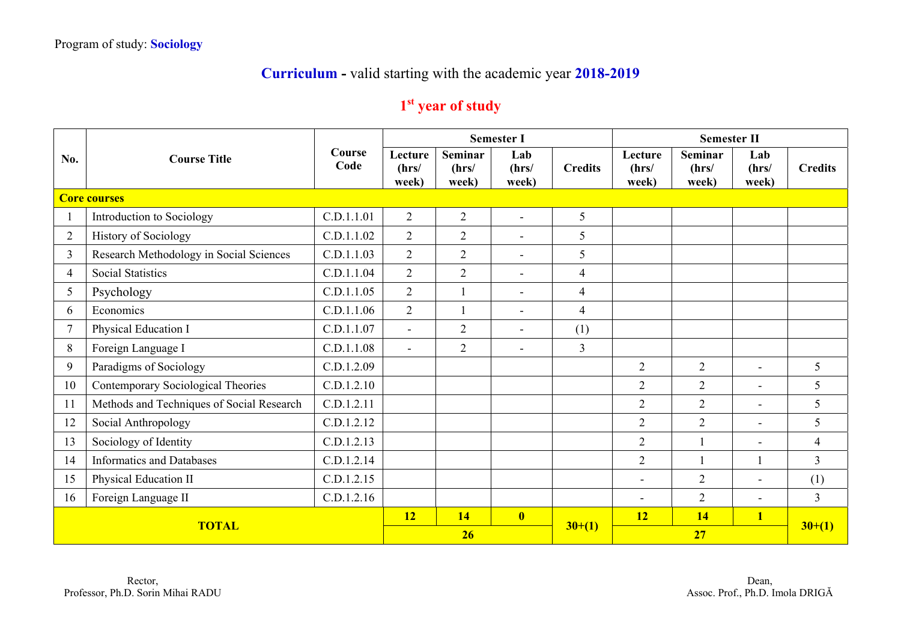## **Curriculum -** valid starting with the academic year **2018-2019**

## **1st year of study**

|                | <b>Course Title</b>                       |                |                           |                           | <b>Semester I</b>        |                |                           | <b>Semester II</b>        |                       |                |  |
|----------------|-------------------------------------------|----------------|---------------------------|---------------------------|--------------------------|----------------|---------------------------|---------------------------|-----------------------|----------------|--|
| No.            |                                           | Course<br>Code | Lecture<br>(hrs/<br>week) | Seminar<br>(hrs/<br>week) | Lab<br>(hrs/<br>week)    | <b>Credits</b> | Lecture<br>(hrs/<br>week) | Seminar<br>(hrs/<br>week) | Lab<br>(hrs/<br>week) | <b>Credits</b> |  |
|                | <b>Core courses</b>                       |                |                           |                           |                          |                |                           |                           |                       |                |  |
|                | Introduction to Sociology                 | C.D.1.1.01     | $\overline{2}$            | $\overline{2}$            | $\sim$                   | 5              |                           |                           |                       |                |  |
| $\overline{2}$ | <b>History of Sociology</b>               | C.D.1.1.02     | $\overline{2}$            | $\overline{2}$            | $\overline{a}$           | 5              |                           |                           |                       |                |  |
| $\overline{3}$ | Research Methodology in Social Sciences   | C.D.1.1.03     | $\overline{2}$            | $\overline{2}$            | $\blacksquare$           | 5              |                           |                           |                       |                |  |
| $\overline{4}$ | <b>Social Statistics</b>                  | C.D.1.1.04     | $\overline{2}$            | $\overline{2}$            | $\overline{\phantom{a}}$ | $\overline{4}$ |                           |                           |                       |                |  |
| 5              | Psychology                                | C.D.1.1.05     | $\overline{2}$            |                           | $\overline{\phantom{a}}$ | $\overline{4}$ |                           |                           |                       |                |  |
| 6              | Economics                                 | C.D.1.1.06     | $\overline{2}$            | 1                         | $\overline{\phantom{a}}$ | $\overline{4}$ |                           |                           |                       |                |  |
| $\overline{7}$ | Physical Education I                      | C.D.1.1.07     | $\blacksquare$            | $\mathbf{2}$              | $\overline{\phantom{a}}$ | (1)            |                           |                           |                       |                |  |
| 8              | Foreign Language I                        | C.D.1.1.08     | $\blacksquare$            | $\overline{2}$            | $\blacksquare$           | $\overline{3}$ |                           |                           |                       |                |  |
| 9              | Paradigms of Sociology                    | C.D.1.2.09     |                           |                           |                          |                | $\overline{2}$            | $\overline{2}$            | $\blacksquare$        | 5              |  |
| 10             | Contemporary Sociological Theories        | C.D.1.2.10     |                           |                           |                          |                | $\overline{2}$            | $\overline{2}$            | $\blacksquare$        | 5              |  |
| 11             | Methods and Techniques of Social Research | C.D.1.2.11     |                           |                           |                          |                | $\overline{2}$            | $\overline{2}$            | $\blacksquare$        | 5              |  |
| 12             | Social Anthropology                       | C.D.1.2.12     |                           |                           |                          |                | $\overline{2}$            | $\overline{2}$            | $\blacksquare$        | 5              |  |
| 13             | Sociology of Identity                     | C.D.1.2.13     |                           |                           |                          |                | $\overline{2}$            |                           |                       | $\overline{4}$ |  |
| 14             | <b>Informatics and Databases</b>          | C.D.1.2.14     |                           |                           |                          |                | $\overline{2}$            |                           |                       | $\overline{3}$ |  |
| 15             | Physical Education II                     | C.D.1.2.15     |                           |                           |                          |                | $\overline{a}$            | $\overline{2}$            | $\blacksquare$        | (1)            |  |
| 16             | Foreign Language II                       | C.D.1.2.16     |                           |                           |                          |                |                           | $\overline{2}$            |                       | $\overline{3}$ |  |
|                |                                           | 12             | 14                        | $\overline{\mathbf{0}}$   |                          | 12             | <b>14</b>                 | $\overline{\mathbf{1}}$   |                       |                |  |
| <b>TOTAL</b>   |                                           |                | 26                        |                           |                          | $30+(1)$       |                           | 27                        |                       | $30+(1)$       |  |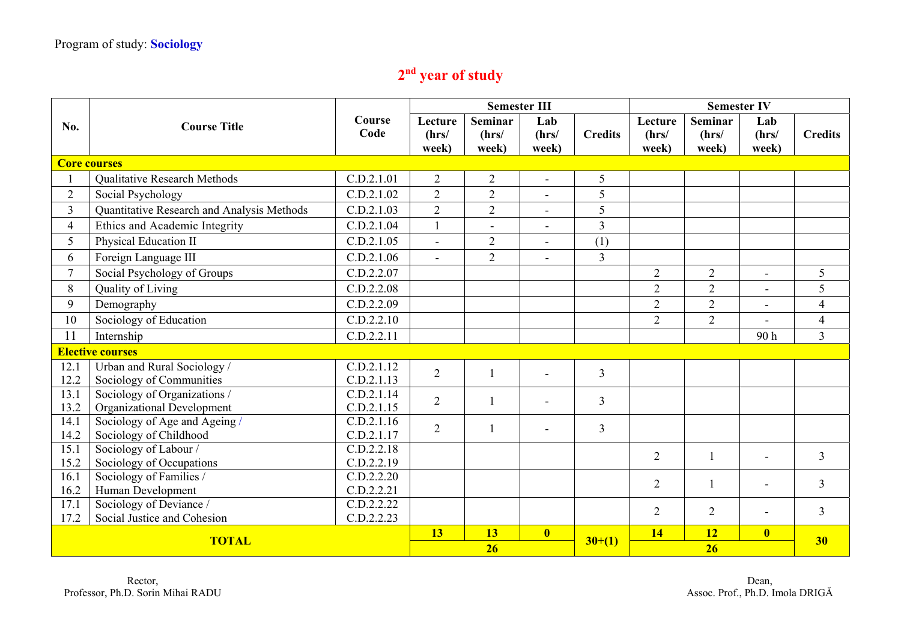## **2nd year of study**

|                |                                            |                |                           | <b>Semester III</b><br><b>Semester IV</b> |                         |                |                           |                                  |                          |                |
|----------------|--------------------------------------------|----------------|---------------------------|-------------------------------------------|-------------------------|----------------|---------------------------|----------------------------------|--------------------------|----------------|
| No.            | <b>Course Title</b>                        | Course<br>Code | Lecture<br>(hrs/<br>week) | Seminar<br>(hrs/<br>week)                 | Lab<br>(hrs/<br>week)   | <b>Credits</b> | Lecture<br>(hrs/<br>week) | <b>Seminar</b><br>(hrs/<br>week) | Lab<br>(hrs/<br>week)    | <b>Credits</b> |
|                | <b>Core courses</b>                        |                |                           |                                           |                         |                |                           |                                  |                          |                |
|                | Qualitative Research Methods               | C.D.2.1.01     | $\overline{2}$            | $\overline{2}$                            | $\blacksquare$          | 5              |                           |                                  |                          |                |
| $\overline{2}$ | Social Psychology                          | C.D.2.1.02     | $\overline{2}$            | $\overline{2}$                            | $\overline{a}$          | 5              |                           |                                  |                          |                |
| $\overline{3}$ | Quantitative Research and Analysis Methods | C.D.2.1.03     | $\overline{2}$            | $\overline{2}$                            | $\blacksquare$          | 5              |                           |                                  |                          |                |
| 4              | Ethics and Academic Integrity              | C.D.2.1.04     | $\mathbf{1}$              | $\blacksquare$                            | $\blacksquare$          | $\overline{3}$ |                           |                                  |                          |                |
| 5              | Physical Education II                      | C.D.2.1.05     | $\mathbf{r}$              | $\overline{2}$                            | $\sim$                  | (1)            |                           |                                  |                          |                |
| 6              | Foreign Language III                       | C.D.2.1.06     | $\mathbf{r}$              | $\overline{2}$                            | $\blacksquare$          | $\overline{3}$ |                           |                                  |                          |                |
| $\overline{7}$ | Social Psychology of Groups                | C.D.2.2.07     |                           |                                           |                         |                | $\overline{2}$            | $\overline{2}$                   | $\blacksquare$           | 5              |
| 8              | Quality of Living                          | C.D.2.2.08     |                           |                                           |                         |                | $\overline{2}$            | $\overline{2}$                   | $\blacksquare$           | 5              |
| 9              | Demography                                 | C.D.2.2.09     |                           |                                           |                         |                | $\overline{2}$            | $\overline{2}$                   |                          | $\overline{4}$ |
| 10             | Sociology of Education                     | C.D.2.2.10     |                           |                                           |                         |                | $\overline{2}$            | $\overline{2}$                   | $\overline{\phantom{0}}$ | $\overline{4}$ |
| 11             | Internship                                 | C.D.2.2.11     |                           |                                           |                         |                |                           |                                  | 90h                      | $\overline{3}$ |
|                | <b>Elective courses</b>                    |                |                           |                                           |                         |                |                           |                                  |                          |                |
| 12.1           | Urban and Rural Sociology /                | C.D.2.1.12     | $\overline{2}$            |                                           |                         | $\overline{3}$ |                           |                                  |                          |                |
| 12.2           | Sociology of Communities                   | C.D.2.1.13     |                           |                                           |                         |                |                           |                                  |                          |                |
| 13.1           | Sociology of Organizations /               | C.D.2.1.14     | $\overline{2}$            | $\mathbf{1}$                              |                         | $\overline{3}$ |                           |                                  |                          |                |
| 13.2           | Organizational Development                 | C.D.2.1.15     |                           |                                           |                         |                |                           |                                  |                          |                |
| 14.1           | Sociology of Age and Ageing /              | C.D.2.1.16     | $\overline{2}$            |                                           | $\blacksquare$          | $\overline{3}$ |                           |                                  |                          |                |
| 14.2           | Sociology of Childhood                     | C.D.2.1.17     |                           |                                           |                         |                |                           |                                  |                          |                |
| 15.1           | Sociology of Labour /                      | C.D.2.2.18     |                           |                                           |                         |                | $\overline{2}$            | $\mathbf{1}$                     |                          | $\overline{3}$ |
| 15.2           | Sociology of Occupations                   | C.D.2.2.19     |                           |                                           |                         |                |                           |                                  |                          |                |
| 16.1           | Sociology of Families /                    | C.D.2.2.20     |                           |                                           |                         |                | $\overline{2}$            | $\overline{1}$                   |                          | $\overline{3}$ |
| 16.2           | Human Development                          | C.D.2.2.21     |                           |                                           |                         |                |                           |                                  |                          |                |
| 17.1           | Sociology of Deviance /                    | C.D.2.2.22     |                           |                                           |                         |                | $\overline{2}$            | $\overline{2}$                   |                          | $\overline{3}$ |
| 17.2           | Social Justice and Cohesion                | C.D.2.2.23     |                           |                                           |                         |                |                           |                                  |                          |                |
| <b>TOTAL</b>   |                                            |                | 13                        | 13                                        | $\overline{\mathbf{0}}$ | $30+(1)$       | 14                        | <b>12</b>                        | $\overline{\mathbf{0}}$  | 30             |
|                |                                            |                |                           | 26                                        |                         |                | 26                        |                                  |                          |                |